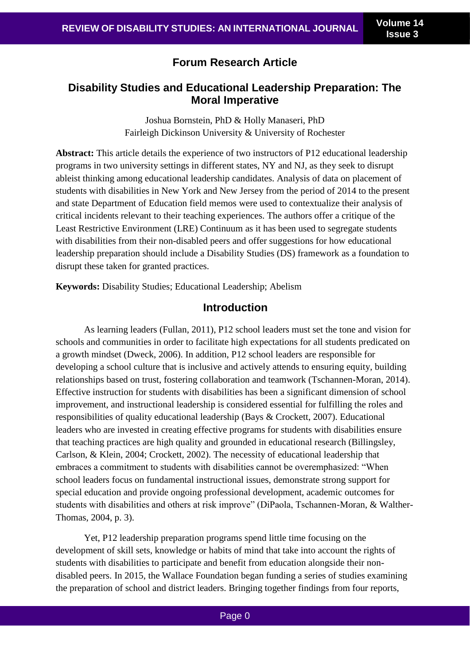# **Forum Research Article**

# **Disability Studies and Educational Leadership Preparation: The Moral Imperative**

Joshua Bornstein, PhD & Holly Manaseri, PhD Fairleigh Dickinson University & University of Rochester

**Abstract:** This article details the experience of two instructors of P12 educational leadership programs in two university settings in different states, NY and NJ, as they seek to disrupt ableist thinking among educational leadership candidates. Analysis of data on placement of students with disabilities in New York and New Jersey from the period of 2014 to the present and state Department of Education field memos were used to contextualize their analysis of critical incidents relevant to their teaching experiences. The authors offer a critique of the Least Restrictive Environment (LRE) Continuum as it has been used to segregate students with disabilities from their non-disabled peers and offer suggestions for how educational leadership preparation should include a Disability Studies (DS) framework as a foundation to disrupt these taken for granted practices.

**Keywords:** Disability Studies; Educational Leadership; Abelism

## **Introduction**

As learning leaders (Fullan, 2011), P12 school leaders must set the tone and vision for schools and communities in order to facilitate high expectations for all students predicated on a growth mindset (Dweck, 2006). In addition, P12 school leaders are responsible for developing a school culture that is inclusive and actively attends to ensuring equity, building relationships based on trust, fostering collaboration and teamwork (Tschannen-Moran, 2014). Effective instruction for students with disabilities has been a significant dimension of school improvement, and instructional leadership is considered essential for fulfilling the roles and responsibilities of quality educational leadership (Bays & Crockett, 2007). Educational leaders who are invested in creating effective programs for students with disabilities ensure that teaching practices are high quality and grounded in educational research (Billingsley, Carlson, & Klein, 2004; Crockett, 2002). The necessity of educational leadership that embraces a commitment to students with disabilities cannot be overemphasized: "When school leaders focus on fundamental instructional issues, demonstrate strong support for special education and provide ongoing professional development, academic outcomes for students with disabilities and others at risk improve" (DiPaola, Tschannen-Moran, & Walther-Thomas, 2004, p. 3).

Yet, P12 leadership preparation programs spend little time focusing on the development of skill sets, knowledge or habits of mind that take into account the rights of students with disabilities to participate and benefit from education alongside their nondisabled peers. In 2015, the Wallace Foundation began funding a series of studies examining the preparation of school and district leaders. Bringing together findings from four reports,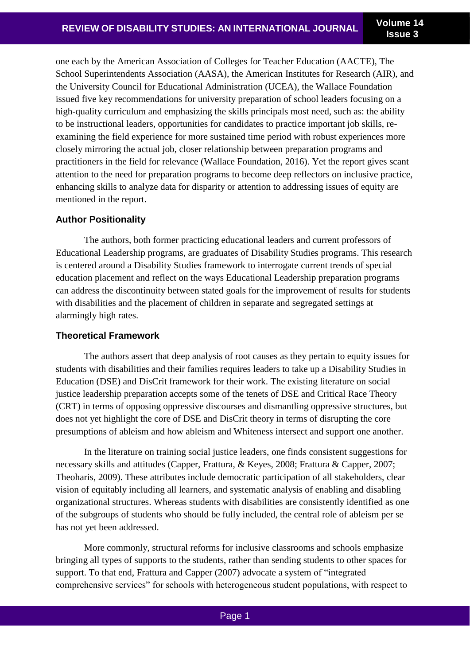one each by the American Association of Colleges for Teacher Education (AACTE), The School Superintendents Association (AASA), the American Institutes for Research (AIR), and the University Council for Educational Administration (UCEA), the Wallace Foundation issued five key recommendations for university preparation of school leaders focusing on a high-quality curriculum and emphasizing the skills principals most need, such as: the ability to be instructional leaders, opportunities for candidates to practice important job skills, reexamining the field experience for more sustained time period with robust experiences more closely mirroring the actual job, closer relationship between preparation programs and practitioners in the field for relevance (Wallace Foundation, 2016). Yet the report gives scant attention to the need for preparation programs to become deep reflectors on inclusive practice, enhancing skills to analyze data for disparity or attention to addressing issues of equity are mentioned in the report.

### **Author Positionality**

The authors, both former practicing educational leaders and current professors of Educational Leadership programs, are graduates of Disability Studies programs. This research is centered around a Disability Studies framework to interrogate current trends of special education placement and reflect on the ways Educational Leadership preparation programs can address the discontinuity between stated goals for the improvement of results for students with disabilities and the placement of children in separate and segregated settings at alarmingly high rates.

### **Theoretical Framework**

The authors assert that deep analysis of root causes as they pertain to equity issues for students with disabilities and their families requires leaders to take up a Disability Studies in Education (DSE) and DisCrit framework for their work. The existing literature on social justice leadership preparation accepts some of the tenets of DSE and Critical Race Theory (CRT) in terms of opposing oppressive discourses and dismantling oppressive structures, but does not yet highlight the core of DSE and DisCrit theory in terms of disrupting the core presumptions of ableism and how ableism and Whiteness intersect and support one another.

In the literature on training social justice leaders, one finds consistent suggestions for necessary skills and attitudes (Capper, Frattura, & Keyes, 2008; Frattura & Capper, 2007; Theoharis, 2009). These attributes include democratic participation of all stakeholders, clear vision of equitably including all learners, and systematic analysis of enabling and disabling organizational structures. Whereas students with disabilities are consistently identified as one of the subgroups of students who should be fully included, the central role of ableism per se has not yet been addressed.

More commonly, structural reforms for inclusive classrooms and schools emphasize bringing all types of supports to the students, rather than sending students to other spaces for support. To that end, Frattura and Capper (2007) advocate a system of "integrated comprehensive services" for schools with heterogeneous student populations, with respect to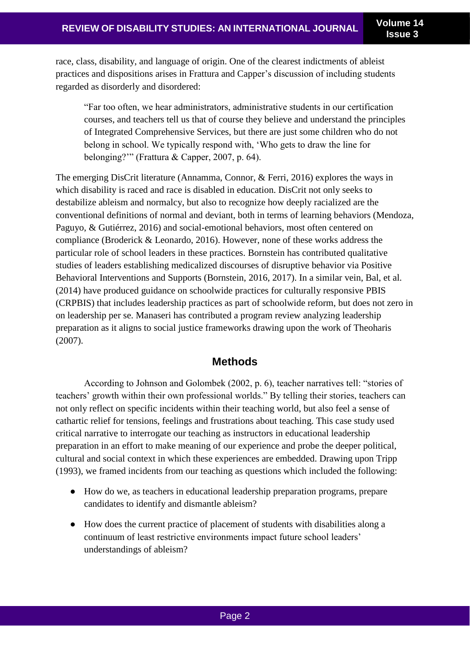race, class, disability, and language of origin. One of the clearest indictments of ableist practices and dispositions arises in Frattura and Capper's discussion of including students regarded as disorderly and disordered:

"Far too often, we hear administrators, administrative students in our certification courses, and teachers tell us that of course they believe and understand the principles of Integrated Comprehensive Services, but there are just some children who do not belong in school. We typically respond with, 'Who gets to draw the line for belonging?'" (Frattura & Capper, 2007, p. 64).

The emerging DisCrit literature (Annamma, Connor, & Ferri, 2016) explores the ways in which disability is raced and race is disabled in education. DisCrit not only seeks to destabilize ableism and normalcy, but also to recognize how deeply racialized are the conventional definitions of normal and deviant, both in terms of learning behaviors (Mendoza, Paguyo, & Gutiérrez, 2016) and social-emotional behaviors, most often centered on compliance (Broderick & Leonardo, 2016). However, none of these works address the particular role of school leaders in these practices. Bornstein has contributed qualitative studies of leaders establishing medicalized discourses of disruptive behavior via Positive Behavioral Interventions and Supports (Bornstein, 2016, 2017). In a similar vein, Bal, et al. (2014) have produced guidance on schoolwide practices for culturally responsive PBIS (CRPBIS) that includes leadership practices as part of schoolwide reform, but does not zero in on leadership per se. Manaseri has contributed a program review analyzing leadership preparation as it aligns to social justice frameworks drawing upon the work of Theoharis (2007).

## **Methods**

According to Johnson and Golombek (2002, p. 6), teacher narratives tell: "stories of teachers' growth within their own professional worlds." By telling their stories, teachers can not only reflect on specific incidents within their teaching world, but also feel a sense of cathartic relief for tensions, feelings and frustrations about teaching. This case study used critical narrative to interrogate our teaching as instructors in educational leadership preparation in an effort to make meaning of our experience and probe the deeper political, cultural and social context in which these experiences are embedded. Drawing upon Tripp (1993), we framed incidents from our teaching as questions which included the following:

- How do we, as teachers in educational leadership preparation programs, prepare candidates to identify and dismantle ableism?
- How does the current practice of placement of students with disabilities along a continuum of least restrictive environments impact future school leaders' understandings of ableism?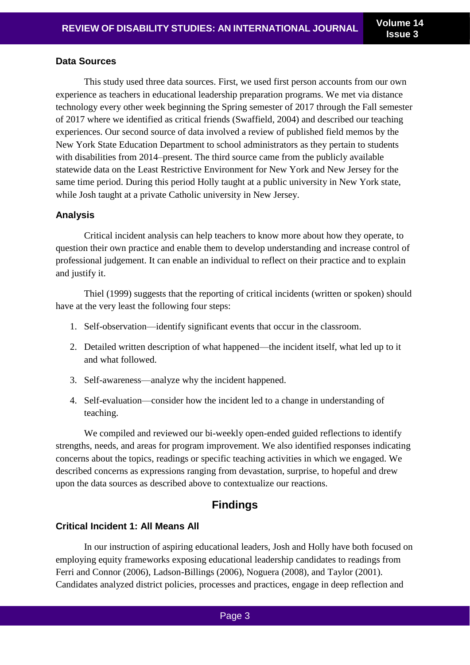#### **Data Sources**

This study used three data sources. First, we used first person accounts from our own experience as teachers in educational leadership preparation programs. We met via distance technology every other week beginning the Spring semester of 2017 through the Fall semester of 2017 where we identified as critical friends (Swaffield, 2004) and described our teaching experiences. Our second source of data involved a review of published field memos by the New York State Education Department to school administrators as they pertain to students with disabilities from 2014–present. The third source came from the publicly available statewide data on the Least Restrictive Environment for New York and New Jersey for the same time period. During this period Holly taught at a public university in New York state, while Josh taught at a private Catholic university in New Jersey.

#### **Analysis**

Critical incident analysis can help teachers to know more about how they operate, to question their own practice and enable them to develop understanding and increase control of professional judgement. It can enable an individual to reflect on their practice and to explain and justify it.

Thiel (1999) suggests that the reporting of critical incidents (written or spoken) should have at the very least the following four steps:

- 1. Self-observation—identify significant events that occur in the classroom.
- 2. Detailed written description of what happened—the incident itself, what led up to it and what followed.
- 3. Self-awareness—analyze why the incident happened.
- 4. Self-evaluation—consider how the incident led to a change in understanding of teaching.

We compiled and reviewed our bi-weekly open-ended guided reflections to identify strengths, needs, and areas for program improvement. We also identified responses indicating concerns about the topics, readings or specific teaching activities in which we engaged. We described concerns as expressions ranging from devastation, surprise, to hopeful and drew upon the data sources as described above to contextualize our reactions.

# **Findings**

### **Critical Incident 1: All Means All**

In our instruction of aspiring educational leaders, Josh and Holly have both focused on employing equity frameworks exposing educational leadership candidates to readings from Ferri and Connor (2006), Ladson-Billings (2006), Noguera (2008), and Taylor (2001). Candidates analyzed district policies, processes and practices, engage in deep reflection and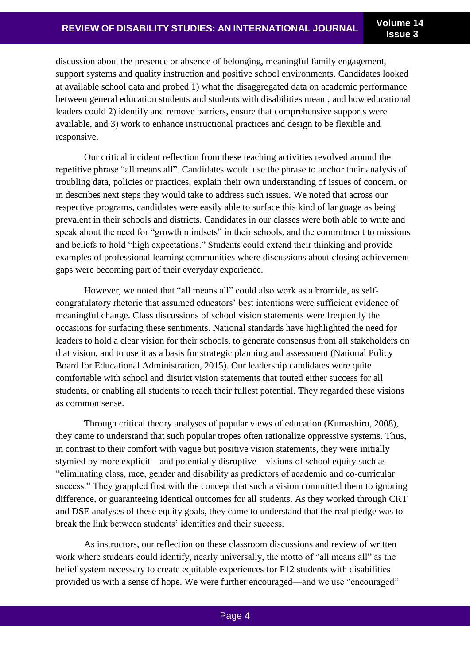discussion about the presence or absence of belonging, meaningful family engagement, support systems and quality instruction and positive school environments. Candidates looked at available school data and probed 1) what the disaggregated data on academic performance between general education students and students with disabilities meant, and how educational leaders could 2) identify and remove barriers, ensure that comprehensive supports were available, and 3) work to enhance instructional practices and design to be flexible and responsive.

Our critical incident reflection from these teaching activities revolved around the repetitive phrase "all means all". Candidates would use the phrase to anchor their analysis of troubling data, policies or practices, explain their own understanding of issues of concern, or in describes next steps they would take to address such issues. We noted that across our respective programs, candidates were easily able to surface this kind of language as being prevalent in their schools and districts. Candidates in our classes were both able to write and speak about the need for "growth mindsets" in their schools, and the commitment to missions and beliefs to hold "high expectations." Students could extend their thinking and provide examples of professional learning communities where discussions about closing achievement gaps were becoming part of their everyday experience.

However, we noted that "all means all" could also work as a bromide, as selfcongratulatory rhetoric that assumed educators' best intentions were sufficient evidence of meaningful change. Class discussions of school vision statements were frequently the occasions for surfacing these sentiments. National standards have highlighted the need for leaders to hold a clear vision for their schools, to generate consensus from all stakeholders on that vision, and to use it as a basis for strategic planning and assessment (National Policy Board for Educational Administration, 2015). Our leadership candidates were quite comfortable with school and district vision statements that touted either success for all students, or enabling all students to reach their fullest potential. They regarded these visions as common sense.

Through critical theory analyses of popular views of education (Kumashiro, 2008), they came to understand that such popular tropes often rationalize oppressive systems. Thus, in contrast to their comfort with vague but positive vision statements, they were initially stymied by more explicit—and potentially disruptive—visions of school equity such as "eliminating class, race, gender and disability as predictors of academic and co-curricular success." They grappled first with the concept that such a vision committed them to ignoring difference, or guaranteeing identical outcomes for all students. As they worked through CRT and DSE analyses of these equity goals, they came to understand that the real pledge was to break the link between students' identities and their success.

As instructors, our reflection on these classroom discussions and review of written work where students could identify, nearly universally, the motto of "all means all" as the belief system necessary to create equitable experiences for P12 students with disabilities provided us with a sense of hope. We were further encouraged—and we use "encouraged"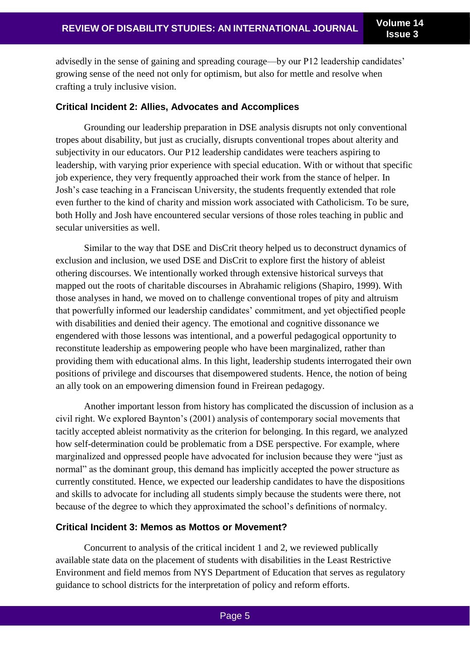advisedly in the sense of gaining and spreading courage—by our P12 leadership candidates' growing sense of the need not only for optimism, but also for mettle and resolve when crafting a truly inclusive vision.

#### **Critical Incident 2: Allies, Advocates and Accomplices**

Grounding our leadership preparation in DSE analysis disrupts not only conventional tropes about disability, but just as crucially, disrupts conventional tropes about alterity and subjectivity in our educators. Our P12 leadership candidates were teachers aspiring to leadership, with varying prior experience with special education. With or without that specific job experience, they very frequently approached their work from the stance of helper. In Josh's case teaching in a Franciscan University, the students frequently extended that role even further to the kind of charity and mission work associated with Catholicism. To be sure, both Holly and Josh have encountered secular versions of those roles teaching in public and secular universities as well.

Similar to the way that DSE and DisCrit theory helped us to deconstruct dynamics of exclusion and inclusion, we used DSE and DisCrit to explore first the history of ableist othering discourses. We intentionally worked through extensive historical surveys that mapped out the roots of charitable discourses in Abrahamic religions (Shapiro, 1999). With those analyses in hand, we moved on to challenge conventional tropes of pity and altruism that powerfully informed our leadership candidates' commitment, and yet objectified people with disabilities and denied their agency. The emotional and cognitive dissonance we engendered with those lessons was intentional, and a powerful pedagogical opportunity to reconstitute leadership as empowering people who have been marginalized, rather than providing them with educational alms. In this light, leadership students interrogated their own positions of privilege and discourses that disempowered students. Hence, the notion of being an ally took on an empowering dimension found in Freirean pedagogy.

Another important lesson from history has complicated the discussion of inclusion as a civil right. We explored Baynton's (2001) analysis of contemporary social movements that tacitly accepted ableist normativity as the criterion for belonging. In this regard, we analyzed how self-determination could be problematic from a DSE perspective. For example, where marginalized and oppressed people have advocated for inclusion because they were "just as normal" as the dominant group, this demand has implicitly accepted the power structure as currently constituted. Hence, we expected our leadership candidates to have the dispositions and skills to advocate for including all students simply because the students were there, not because of the degree to which they approximated the school's definitions of normalcy.

#### **Critical Incident 3: Memos as Mottos or Movement?**

Concurrent to analysis of the critical incident 1 and 2, we reviewed publically available state data on the placement of students with disabilities in the Least Restrictive Environment and field memos from NYS Department of Education that serves as regulatory guidance to school districts for the interpretation of policy and reform efforts.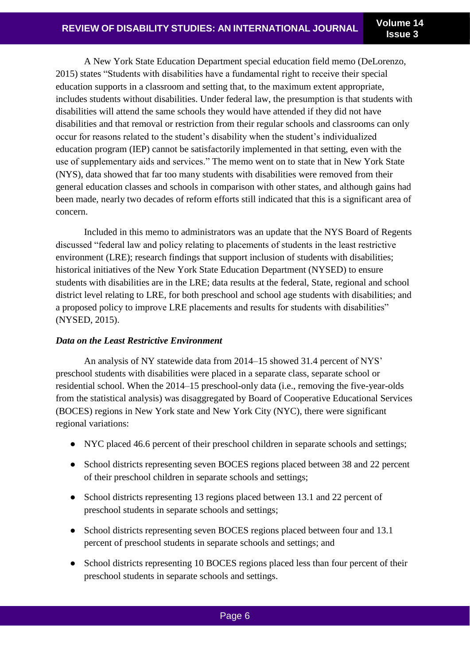A New York State Education Department special education field memo (DeLorenzo, 2015) states "Students with disabilities have a fundamental right to receive their special education supports in a classroom and setting that, to the maximum extent appropriate, includes students without disabilities. Under federal law, the presumption is that students with disabilities will attend the same schools they would have attended if they did not have disabilities and that removal or restriction from their regular schools and classrooms can only occur for reasons related to the student's disability when the student's individualized education program (IEP) cannot be satisfactorily implemented in that setting, even with the use of supplementary aids and services." The memo went on to state that in New York State (NYS), data showed that far too many students with disabilities were removed from their general education classes and schools in comparison with other states, and although gains had been made, nearly two decades of reform efforts still indicated that this is a significant area of concern.

Included in this memo to administrators was an update that the NYS Board of Regents discussed "federal law and policy relating to placements of students in the least restrictive environment (LRE); research findings that support inclusion of students with disabilities; historical initiatives of the New York State Education Department (NYSED) to ensure students with disabilities are in the LRE; data results at the federal, State, regional and school district level relating to LRE, for both preschool and school age students with disabilities; and a proposed policy to improve LRE placements and results for students with disabilities" (NYSED, 2015).

### *Data on the Least Restrictive Environment*

An analysis of NY statewide data from 2014–15 showed 31.4 percent of NYS' preschool students with disabilities were placed in a separate class, separate school or residential school. When the 2014–15 preschool-only data (i.e., removing the five-year-olds from the statistical analysis) was disaggregated by Board of Cooperative Educational Services (BOCES) regions in New York state and New York City (NYC), there were significant regional variations:

- NYC placed 46.6 percent of their preschool children in separate schools and settings;
- School districts representing seven BOCES regions placed between 38 and 22 percent of their preschool children in separate schools and settings;
- School districts representing 13 regions placed between 13.1 and 22 percent of preschool students in separate schools and settings;
- School districts representing seven BOCES regions placed between four and 13.1 percent of preschool students in separate schools and settings; and
- School districts representing 10 BOCES regions placed less than four percent of their preschool students in separate schools and settings.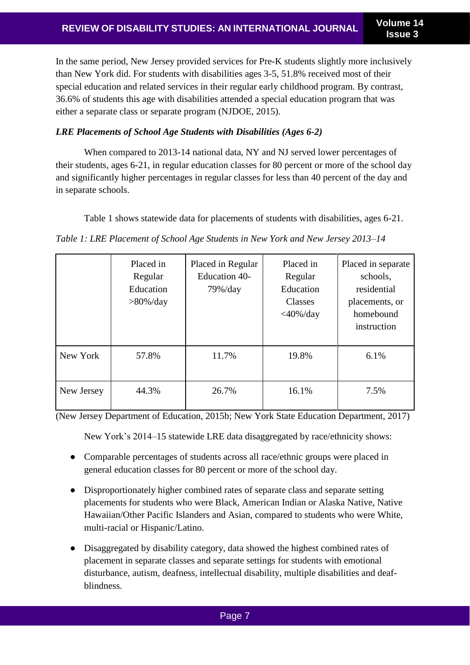In the same period, New Jersey provided services for Pre-K students slightly more inclusively than New York did. For students with disabilities ages 3-5, 51.8% received most of their special education and related services in their regular early childhood program. By contrast, 36.6% of students this age with disabilities attended a special education program that was either a separate class or separate program (NJDOE, 2015).

## *LRE Placements of School Age Students with Disabilities (Ages 6-2)*

When compared to 2013-14 national data, NY and NJ served lower percentages of their students, ages 6-21, in regular education classes for 80 percent or more of the school day and significantly higher percentages in regular classes for less than 40 percent of the day and in separate schools.

Table 1 shows statewide data for placements of students with disabilities, ages 6-21.

*Table 1: LRE Placement of School Age Students in New York and New Jersey 2013–14*

|            | Placed in<br>Regular<br>Education<br>$>80\%$ /day | Placed in Regular<br>Education 40-<br>$79\%$ /day | Placed in<br>Regular<br>Education<br>Classes<br>$<$ 40%/day | Placed in separate<br>schools,<br>residential<br>placements, or<br>homebound<br>instruction |
|------------|---------------------------------------------------|---------------------------------------------------|-------------------------------------------------------------|---------------------------------------------------------------------------------------------|
| New York   | 57.8%                                             | 11.7%                                             | 19.8%                                                       | 6.1%                                                                                        |
| New Jersey | 44.3%                                             | 26.7%                                             | 16.1%                                                       | 7.5%                                                                                        |

(New Jersey Department of Education, 2015b; New York State Education Department, 2017)

New York's 2014–15 statewide LRE data disaggregated by race/ethnicity shows:

- Comparable percentages of students across all race/ethnic groups were placed in general education classes for 80 percent or more of the school day.
- Disproportionately higher combined rates of separate class and separate setting placements for students who were Black, American Indian or Alaska Native, Native Hawaiian/Other Pacific Islanders and Asian, compared to students who were White, multi-racial or Hispanic/Latino.
- Disaggregated by disability category, data showed the highest combined rates of placement in separate classes and separate settings for students with emotional disturbance, autism, deafness, intellectual disability, multiple disabilities and deafblindness.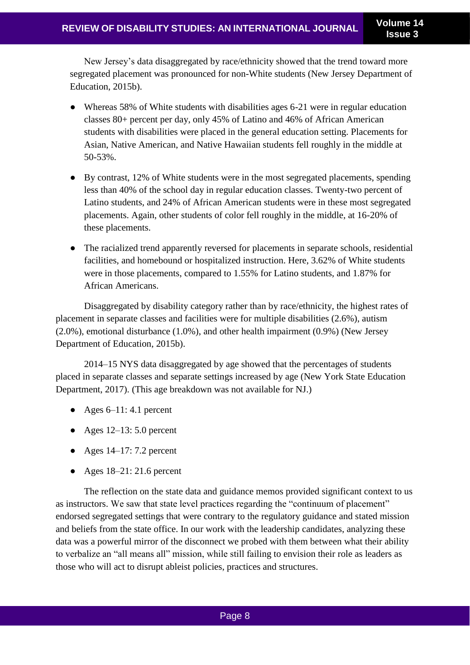New Jersey's data disaggregated by race/ethnicity showed that the trend toward more segregated placement was pronounced for non-White students (New Jersey Department of Education, 2015b).

- Whereas 58% of White students with disabilities ages 6-21 were in regular education classes 80+ percent per day, only 45% of Latino and 46% of African American students with disabilities were placed in the general education setting. Placements for Asian, Native American, and Native Hawaiian students fell roughly in the middle at 50-53%.
- By contrast, 12% of White students were in the most segregated placements, spending less than 40% of the school day in regular education classes. Twenty-two percent of Latino students, and 24% of African American students were in these most segregated placements. Again, other students of color fell roughly in the middle, at 16-20% of these placements.
- The racialized trend apparently reversed for placements in separate schools, residential facilities, and homebound or hospitalized instruction. Here, 3.62% of White students were in those placements, compared to 1.55% for Latino students, and 1.87% for African Americans.

Disaggregated by disability category rather than by race/ethnicity, the highest rates of placement in separate classes and facilities were for multiple disabilities (2.6%), autism (2.0%), emotional disturbance (1.0%), and other health impairment (0.9%) (New Jersey Department of Education, 2015b).

2014–15 NYS data disaggregated by age showed that the percentages of students placed in separate classes and separate settings increased by age (New York State Education Department, 2017). (This age breakdown was not available for NJ.)

- Ages  $6-11: 4.1$  percent
- Ages  $12-13: 5.0$  percent
- Ages  $14-17: 7.2$  percent
- Ages  $18-21:21.6$  percent

The reflection on the state data and guidance memos provided significant context to us as instructors. We saw that state level practices regarding the "continuum of placement" endorsed segregated settings that were contrary to the regulatory guidance and stated mission and beliefs from the state office. In our work with the leadership candidates, analyzing these data was a powerful mirror of the disconnect we probed with them between what their ability to verbalize an "all means all" mission, while still failing to envision their role as leaders as those who will act to disrupt ableist policies, practices and structures.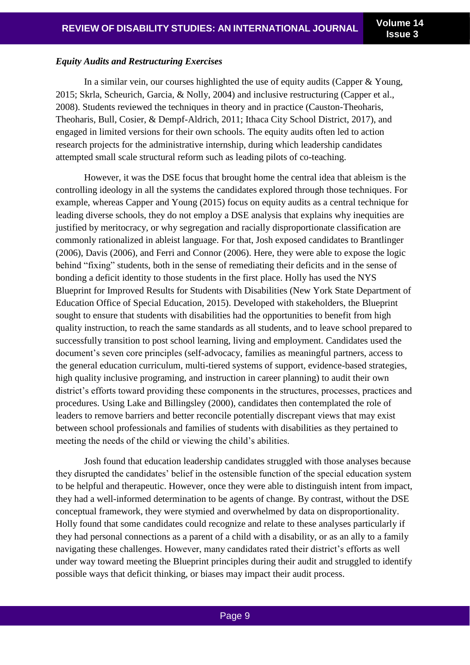#### *Equity Audits and Restructuring Exercises*

In a similar vein, our courses highlighted the use of equity audits (Capper & Young, 2015; Skrla, Scheurich, Garcia, & Nolly, 2004) and inclusive restructuring (Capper et al., 2008). Students reviewed the techniques in theory and in practice (Causton-Theoharis, Theoharis, Bull, Cosier, & Dempf-Aldrich, 2011; Ithaca City School District, 2017), and engaged in limited versions for their own schools. The equity audits often led to action research projects for the administrative internship, during which leadership candidates attempted small scale structural reform such as leading pilots of co-teaching.

However, it was the DSE focus that brought home the central idea that ableism is the controlling ideology in all the systems the candidates explored through those techniques. For example, whereas Capper and Young (2015) focus on equity audits as a central technique for leading diverse schools, they do not employ a DSE analysis that explains why inequities are justified by meritocracy, or why segregation and racially disproportionate classification are commonly rationalized in ableist language. For that, Josh exposed candidates to Brantlinger (2006), Davis (2006), and Ferri and Connor (2006). Here, they were able to expose the logic behind "fixing" students, both in the sense of remediating their deficits and in the sense of bonding a deficit identity to those students in the first place. Holly has used the NYS Blueprint for Improved Results for Students with Disabilities (New York State Department of Education Office of Special Education, 2015). Developed with stakeholders, the Blueprint sought to ensure that students with disabilities had the opportunities to benefit from high quality instruction, to reach the same standards as all students, and to leave school prepared to successfully transition to post school learning, living and employment. Candidates used the document's seven core principles (self-advocacy, families as meaningful partners, access to the general education curriculum, multi-tiered systems of support, evidence-based strategies, high quality inclusive programing, and instruction in career planning) to audit their own district's efforts toward providing these components in the structures, processes, practices and procedures. Using Lake and Billingsley (2000), candidates then contemplated the role of leaders to remove barriers and better reconcile potentially discrepant views that may exist between school professionals and families of students with disabilities as they pertained to meeting the needs of the child or viewing the child's abilities.

Josh found that education leadership candidates struggled with those analyses because they disrupted the candidates' belief in the ostensible function of the special education system to be helpful and therapeutic. However, once they were able to distinguish intent from impact, they had a well-informed determination to be agents of change. By contrast, without the DSE conceptual framework, they were stymied and overwhelmed by data on disproportionality. Holly found that some candidates could recognize and relate to these analyses particularly if they had personal connections as a parent of a child with a disability, or as an ally to a family navigating these challenges. However, many candidates rated their district's efforts as well under way toward meeting the Blueprint principles during their audit and struggled to identify possible ways that deficit thinking, or biases may impact their audit process.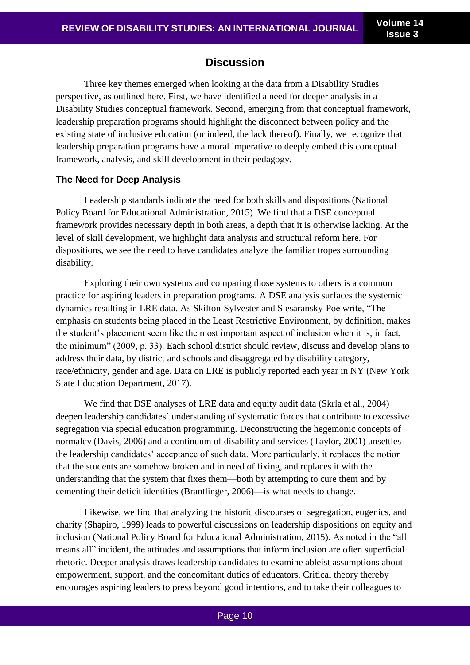## **Discussion**

Three key themes emerged when looking at the data from a Disability Studies perspective, as outlined here. First, we have identified a need for deeper analysis in a Disability Studies conceptual framework. Second, emerging from that conceptual framework, leadership preparation programs should highlight the disconnect between policy and the existing state of inclusive education (or indeed, the lack thereof). Finally, we recognize that leadership preparation programs have a moral imperative to deeply embed this conceptual framework, analysis, and skill development in their pedagogy.

#### **The Need for Deep Analysis**

Leadership standards indicate the need for both skills and dispositions (National Policy Board for Educational Administration, 2015). We find that a DSE conceptual framework provides necessary depth in both areas, a depth that it is otherwise lacking. At the level of skill development, we highlight data analysis and structural reform here. For dispositions, we see the need to have candidates analyze the familiar tropes surrounding disability.

Exploring their own systems and comparing those systems to others is a common practice for aspiring leaders in preparation programs. A DSE analysis surfaces the systemic dynamics resulting in LRE data. As Skilton-Sylvester and Slesaransky-Poe write, "The emphasis on students being placed in the Least Restrictive Environment, by definition, makes the student's placement seem like the most important aspect of inclusion when it is, in fact, the minimum" (2009, p. 33). Each school district should review, discuss and develop plans to address their data, by district and schools and disaggregated by disability category, race/ethnicity, gender and age. Data on LRE is publicly reported each year in NY (New York State Education Department, 2017).

We find that DSE analyses of LRE data and equity audit data (Skrla et al., 2004) deepen leadership candidates' understanding of systematic forces that contribute to excessive segregation via special education programming. Deconstructing the hegemonic concepts of normalcy (Davis, 2006) and a continuum of disability and services (Taylor, 2001) unsettles the leadership candidates' acceptance of such data. More particularly, it replaces the notion that the students are somehow broken and in need of fixing, and replaces it with the understanding that the system that fixes them—both by attempting to cure them and by cementing their deficit identities (Brantlinger, 2006)—is what needs to change.

Likewise, we find that analyzing the historic discourses of segregation, eugenics, and charity (Shapiro, 1999) leads to powerful discussions on leadership dispositions on equity and inclusion (National Policy Board for Educational Administration, 2015). As noted in the "all means all" incident, the attitudes and assumptions that inform inclusion are often superficial rhetoric. Deeper analysis draws leadership candidates to examine ableist assumptions about empowerment, support, and the concomitant duties of educators. Critical theory thereby encourages aspiring leaders to press beyond good intentions, and to take their colleagues to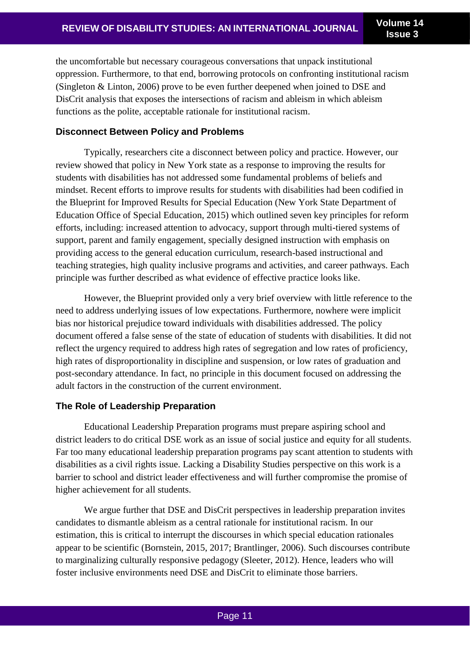the uncomfortable but necessary courageous conversations that unpack institutional oppression. Furthermore, to that end, borrowing protocols on confronting institutional racism (Singleton & Linton, 2006) prove to be even further deepened when joined to DSE and DisCrit analysis that exposes the intersections of racism and ableism in which ableism functions as the polite, acceptable rationale for institutional racism.

### **Disconnect Between Policy and Problems**

Typically, researchers cite a disconnect between policy and practice. However, our review showed that policy in New York state as a response to improving the results for students with disabilities has not addressed some fundamental problems of beliefs and mindset. Recent efforts to improve results for students with disabilities had been codified in the Blueprint for Improved Results for Special Education (New York State Department of Education Office of Special Education, 2015) which outlined seven key principles for reform efforts, including: increased attention to advocacy, support through multi-tiered systems of support, parent and family engagement, specially designed instruction with emphasis on providing access to the general education curriculum, research-based instructional and teaching strategies, high quality inclusive programs and activities, and career pathways. Each principle was further described as what evidence of effective practice looks like.

However, the Blueprint provided only a very brief overview with little reference to the need to address underlying issues of low expectations. Furthermore, nowhere were implicit bias nor historical prejudice toward individuals with disabilities addressed. The policy document offered a false sense of the state of education of students with disabilities. It did not reflect the urgency required to address high rates of segregation and low rates of proficiency, high rates of disproportionality in discipline and suspension, or low rates of graduation and post-secondary attendance. In fact, no principle in this document focused on addressing the adult factors in the construction of the current environment.

#### **The Role of Leadership Preparation**

Educational Leadership Preparation programs must prepare aspiring school and district leaders to do critical DSE work as an issue of social justice and equity for all students. Far too many educational leadership preparation programs pay scant attention to students with disabilities as a civil rights issue. Lacking a Disability Studies perspective on this work is a barrier to school and district leader effectiveness and will further compromise the promise of higher achievement for all students.

We argue further that DSE and DisCrit perspectives in leadership preparation invites candidates to dismantle ableism as a central rationale for institutional racism. In our estimation, this is critical to interrupt the discourses in which special education rationales appear to be scientific (Bornstein, 2015, 2017; Brantlinger, 2006). Such discourses contribute to marginalizing culturally responsive pedagogy (Sleeter, 2012). Hence, leaders who will foster inclusive environments need DSE and DisCrit to eliminate those barriers.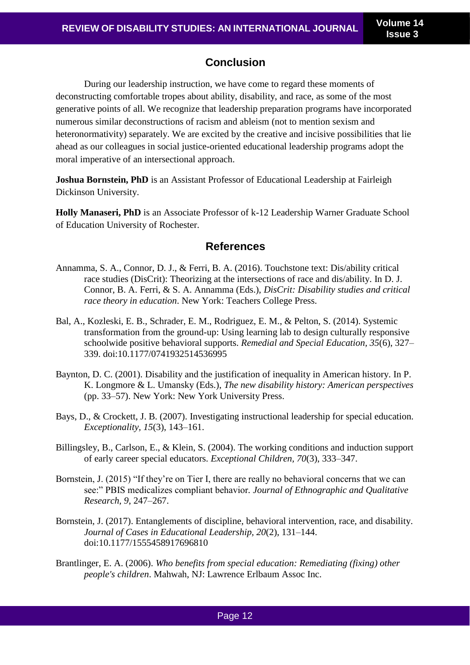# **Conclusion**

During our leadership instruction, we have come to regard these moments of deconstructing comfortable tropes about ability, disability, and race, as some of the most generative points of all. We recognize that leadership preparation programs have incorporated numerous similar deconstructions of racism and ableism (not to mention sexism and heteronormativity) separately. We are excited by the creative and incisive possibilities that lie ahead as our colleagues in social justice-oriented educational leadership programs adopt the moral imperative of an intersectional approach.

**Joshua Bornstein, PhD** is an Assistant Professor of Educational Leadership at Fairleigh Dickinson University.

**Holly Manaseri, PhD** is an Associate Professor of k-12 Leadership Warner Graduate School of Education University of Rochester.

## **References**

- Annamma, S. A., Connor, D. J., & Ferri, B. A. (2016). Touchstone text: Dis/ability critical race studies (DisCrit): Theorizing at the intersections of race and dis/ability. In D. J. Connor, B. A. Ferri, & S. A. Annamma (Eds.), *DisCrit: Disability studies and critical race theory in education*. New York: Teachers College Press.
- Bal, A., Kozleski, E. B., Schrader, E. M., Rodriguez, E. M., & Pelton, S. (2014). Systemic transformation from the ground-up: Using learning lab to design culturally responsive schoolwide positive behavioral supports. *Remedial and Special Education, 35*(6), 327– 339. doi:10.1177/0741932514536995
- Baynton, D. C. (2001). Disability and the justification of inequality in American history. In P. K. Longmore & L. Umansky (Eds.), *The new disability history: American perspectives* (pp. 33–57). New York: New York University Press.
- Bays, D., & Crockett, J. B. (2007). Investigating instructional leadership for special education. *Exceptionality, 15*(3), 143–161.
- Billingsley, B., Carlson, E., & Klein, S. (2004). The working conditions and induction support of early career special educators. *Exceptional Children, 70*(3), 333–347.
- Bornstein, J. (2015) "If they're on Tier I, there are really no behavioral concerns that we can see:" PBIS medicalizes compliant behavior*. Journal of Ethnographic and Qualitative Research, 9*, 247–267.
- Bornstein, J. (2017). Entanglements of discipline, behavioral intervention, race, and disability. *Journal of Cases in Educational Leadership, 20*(2), 131–144. doi:10.1177/1555458917696810
- Brantlinger, E. A. (2006). *Who benefits from special education: Remediating (fixing) other people's children*. Mahwah, NJ: Lawrence Erlbaum Assoc Inc.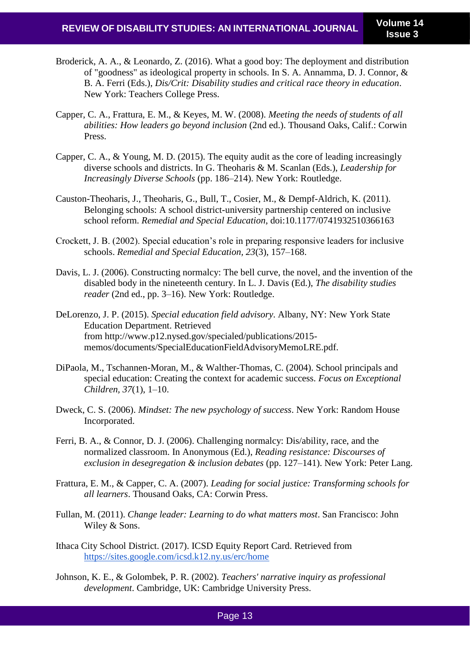- Broderick, A. A., & Leonardo, Z. (2016). What a good boy: The deployment and distribution of "goodness" as ideological property in schools. In S. A. Annamma, D. J. Connor, & B. A. Ferri (Eds.), *Dis/Crit: Disability studies and critical race theory in education*. New York: Teachers College Press.
- Capper, C. A., Frattura, E. M., & Keyes, M. W. (2008). *Meeting the needs of students of all abilities: How leaders go beyond inclusion* (2nd ed.). Thousand Oaks, Calif.: Corwin Press.
- Capper, C. A., & Young, M. D. (2015). The equity audit as the core of leading increasingly diverse schools and districts. In G. Theoharis & M. Scanlan (Eds.), *Leadership for Increasingly Diverse Schools* (pp. 186–214). New York: Routledge.
- Causton-Theoharis, J., Theoharis, G., Bull, T., Cosier, M., & Dempf-Aldrich, K. (2011). Belonging schools: A school district-university partnership centered on inclusive school reform. *Remedial and Special Education*, doi:10.1177/0741932510366163
- Crockett, J. B. (2002). Special education's role in preparing responsive leaders for inclusive schools. *Remedial and Special Education, 23*(3), 157–168.
- Davis, L. J. (2006). Constructing normalcy: The bell curve, the novel, and the invention of the disabled body in the nineteenth century. In L. J. Davis (Ed.), *The disability studies reader* (2nd ed., pp. 3–16). New York: Routledge.
- DeLorenzo, J. P. (2015). *Special education field advisory*. Albany, NY: New York State Education Department. Retrieved from [http://www.p12.nysed.gov/specialed/publications/2015](http://www.p12.nysed.gov/specialed/publications/2015-memos/documents/SpecialEducationFieldAdvisoryMemoLRE.pdf.) [memos/documents/SpecialEducationFieldAdvisoryMemoLRE.pdf.](http://www.p12.nysed.gov/specialed/publications/2015-memos/documents/SpecialEducationFieldAdvisoryMemoLRE.pdf.)
- DiPaola, M., Tschannen-Moran, M., & Walther-Thomas, C. (2004). School principals and special education: Creating the context for academic success. *Focus on Exceptional Children, 37*(1), 1–10.
- Dweck, C. S. (2006). *Mindset: The new psychology of success*. New York: Random House Incorporated.
- Ferri, B. A., & Connor, D. J. (2006). Challenging normalcy: Dis/ability, race, and the normalized classroom. In Anonymous (Ed.), *Reading resistance: Discourses of exclusion in desegregation & inclusion debates* (pp. 127–141). New York: Peter Lang.
- Frattura, E. M., & Capper, C. A. (2007). *Leading for social justice: Transforming schools for all learners*. Thousand Oaks, CA: Corwin Press.
- Fullan, M. (2011). *Change leader: Learning to do what matters most*. San Francisco: John Wiley & Sons.
- Ithaca City School District. (2017). ICSD Equity Report Card. Retrieved fro[m](https://sites.google.com/icsd.k12.ny.us/erc/home) <https://sites.google.com/icsd.k12.ny.us/erc/home>
- Johnson, K. E., & Golombek, P. R. (2002). *Teachers' narrative inquiry as professional development*. Cambridge, UK: Cambridge University Press.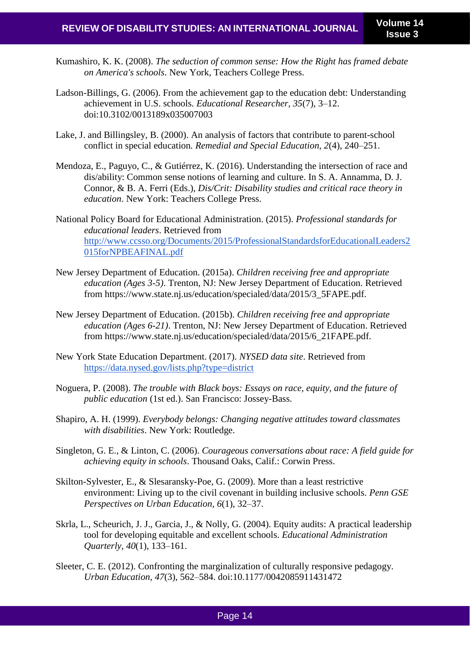- Kumashiro, K. K. (2008). *The seduction of common sense: How the Right has framed debate on America's schools*. New York, Teachers College Press.
- Ladson-Billings, G. (2006). From the achievement gap to the education debt: Understanding achievement in U.S. schools. *Educational Researcher, 35*(7), 3–12. doi:10.3102/0013189x035007003
- Lake, J. and Billingsley, B. (2000). An analysis of factors that contribute to parent-school conflict in special education*. Remedial and Special Education, 2*(4), 240–251.
- Mendoza, E., Paguyo, C., & Gutiérrez, K. (2016). Understanding the intersection of race and dis/ability: Common sense notions of learning and culture. In S. A. Annamma, D. J. Connor, & B. A. Ferri (Eds.), *Dis/Crit: Disability studies and critical race theory in education*. New York: Teachers College Press.
- National Policy Board for Educational Administration. (2015). *Professional standards for educational leaders*. Retrieved from [http://www.ccsso.org/Documents/2015/ProfessionalStandardsforEducationalLeaders2](http://www.ccsso.org/Documents/2015/ProfessionalStandardsforEducationalLeaders2015forNPBEAFINAL.pdf) [015forNPBEAFINAL.pdf](http://www.ccsso.org/Documents/2015/ProfessionalStandardsforEducationalLeaders2015forNPBEAFINAL.pdf)
- New Jersey Department of Education. (2015a). *Children receiving free and appropriate education (Ages 3-5)*. Trenton, NJ: New Jersey Department of Education. Retrieved from [https://www.state.nj.us/education/specialed/data/2015/3\\_5FAPE.pdf.](https://www.state.nj.us/education/specialed/data/2015/3_5FAPE.pdf.)
- New Jersey Department of Education. (2015b). *Children receiving free and appropriate education (Ages 6-21)*. Trenton, NJ: New Jersey Department of Education. Retrieved from [https://www.state.nj.us/education/specialed/data/2015/6\\_21FAPE.pdf.](https://www.state.nj.us/education/specialed/data/2015/6_21FAPE.pdf.)
- New York State Education Department. (2017). *NYSED data site*. Retrieved fro[m](https://data.nysed.gov/lists.php?type=district) <https://data.nysed.gov/lists.php?type=district>
- Noguera, P. (2008). *The trouble with Black boys: Essays on race, equity, and the future of public education* (1st ed.). San Francisco: Jossey-Bass.
- Shapiro, A. H. (1999). *Everybody belongs: Changing negative attitudes toward classmates with disabilities*. New York: Routledge.
- Singleton, G. E., & Linton, C. (2006). *Courageous conversations about race: A field guide for achieving equity in schools*. Thousand Oaks, Calif.: Corwin Press.
- Skilton-Sylvester, E., & Slesaransky-Poe, G. (2009). More than a least restrictive environment: Living up to the civil covenant in building inclusive schools. *Penn GSE Perspectives on Urban Education, 6*(1), 32–37.
- Skrla, L., Scheurich, J. J., Garcia, J., & Nolly, G. (2004). Equity audits: A practical leadership tool for developing equitable and excellent schools. *Educational Administration Quarterly, 40*(1), 133–161.
- Sleeter, C. E. (2012). Confronting the marginalization of culturally responsive pedagogy. *Urban Education, 47*(3), 562–584. doi:10.1177/0042085911431472